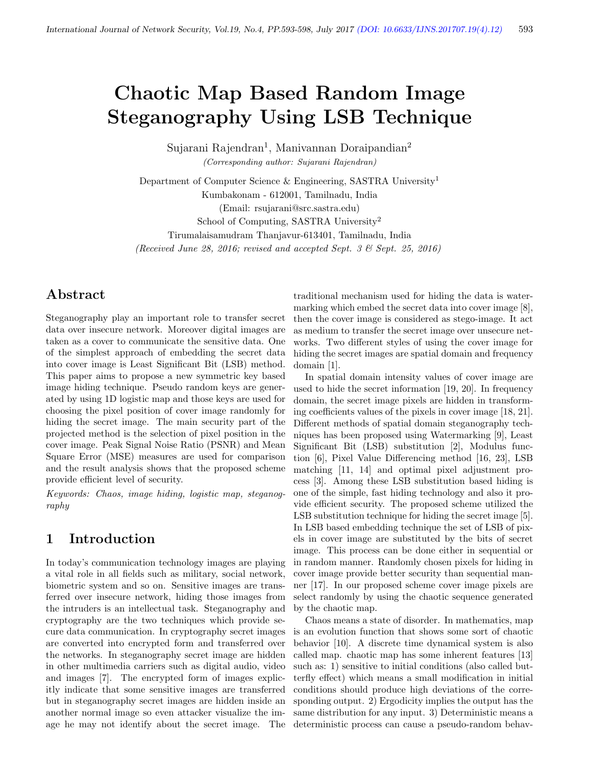# Chaotic Map Based Random Image Steganography Using LSB Technique

Sujarani Rajendran<sup>1</sup>, Manivannan Doraipandian<sup>2</sup> (Corresponding author: Sujarani Rajendran)

Department of Computer Science & Engineering, SASTRA University<sup>1</sup> Kumbakonam - 612001, Tamilnadu, India (Email: rsujarani@src.sastra.edu)

School of Computing, SASTRA University<sup>2</sup>

Tirumalaisamudram Thanjavur-613401, Tamilnadu, India

(Received June 28, 2016; revised and accepted Sept. 3 & Sept. 25, 2016)

### Abstract

Steganography play an important role to transfer secret data over insecure network. Moreover digital images are taken as a cover to communicate the sensitive data. One of the simplest approach of embedding the secret data into cover image is Least Significant Bit (LSB) method. This paper aims to propose a new symmetric key based image hiding technique. Pseudo random keys are generated by using 1D logistic map and those keys are used for choosing the pixel position of cover image randomly for hiding the secret image. The main security part of the projected method is the selection of pixel position in the cover image. Peak Signal Noise Ratio (PSNR) and Mean Square Error (MSE) measures are used for comparison and the result analysis shows that the proposed scheme provide efficient level of security.

Keywords: Chaos, image hiding, logistic map, steganography

### 1 Introduction

In today's communication technology images are playing a vital role in all fields such as military, social network, biometric system and so on. Sensitive images are transferred over insecure network, hiding those images from the intruders is an intellectual task. Steganography and cryptography are the two techniques which provide secure data communication. In cryptography secret images are converted into encrypted form and transferred over the networks. In steganography secret image are hidden in other multimedia carriers such as digital audio, video and images [7]. The encrypted form of images explicitly indicate that some sensitive images are transferred but in steganography secret images are hidden inside an another normal image so even attacker visualize the image he may not identify about the secret image. The traditional mechanism used for hiding the data is watermarking which embed the secret data into cover image [8], then the cover image is considered as stego-image. It act as medium to transfer the secret image over unsecure networks. Two different styles of using the cover image for hiding the secret images are spatial domain and frequency domain [1].

In spatial domain intensity values of cover image are used to hide the secret information [19, 20]. In frequency domain, the secret image pixels are hidden in transforming coefficients values of the pixels in cover image [18, 21]. Different methods of spatial domain steganography techniques has been proposed using Watermarking [9], Least Significant Bit (LSB) substitution [2], Modulus function [6], Pixel Value Differencing method [16, 23], LSB matching [11, 14] and optimal pixel adjustment process [3]. Among these LSB substitution based hiding is one of the simple, fast hiding technology and also it provide efficient security. The proposed scheme utilized the LSB substitution technique for hiding the secret image [5]. In LSB based embedding technique the set of LSB of pixels in cover image are substituted by the bits of secret image. This process can be done either in sequential or in random manner. Randomly chosen pixels for hiding in cover image provide better security than sequential manner [17]. In our proposed scheme cover image pixels are select randomly by using the chaotic sequence generated by the chaotic map.

Chaos means a state of disorder. In mathematics, map is an evolution function that shows some sort of chaotic behavior [10]. A discrete time dynamical system is also called map. chaotic map has some inherent features [13] such as: 1) sensitive to initial conditions (also called butterfly effect) which means a small modification in initial conditions should produce high deviations of the corresponding output. 2) Ergodicity implies the output has the same distribution for any input. 3) Deterministic means a deterministic process can cause a pseudo-random behav-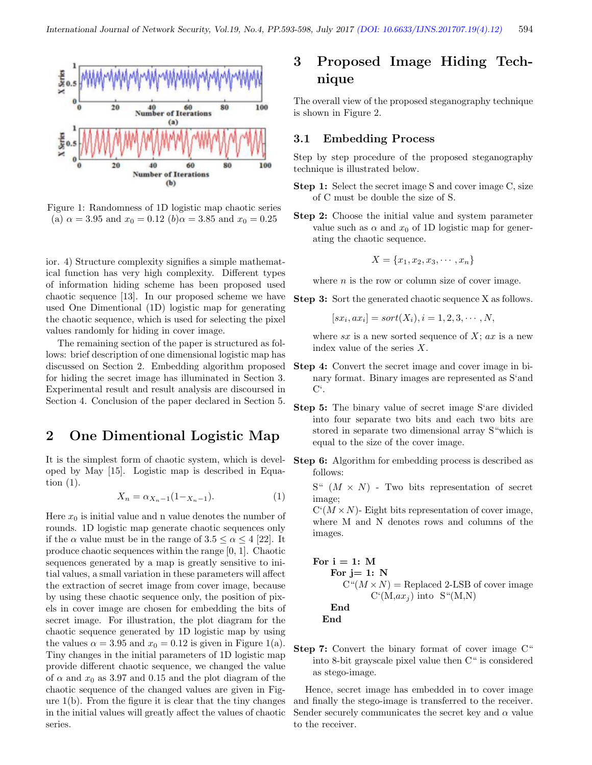

Figure 1: Randomness of 1D logistic map chaotic series (a)  $\alpha = 3.95$  and  $x_0 = 0.12$  (b) $\alpha = 3.85$  and  $x_0 = 0.25$ 

ior. 4) Structure complexity signifies a simple mathematical function has very high complexity. Different types of information hiding scheme has been proposed used chaotic sequence [13]. In our proposed scheme we have used One Dimentional (1D) logistic map for generating the chaotic sequence, which is used for selecting the pixel values randomly for hiding in cover image.

The remaining section of the paper is structured as follows: brief description of one dimensional logistic map has discussed on Section 2. Embedding algorithm proposed for hiding the secret image has illuminated in Section 3. Experimental result and result analysis are discoursed in Section 4. Conclusion of the paper declared in Section 5.

### 2 One Dimentional Logistic Map

It is the simplest form of chaotic system, which is developed by May [15]. Logistic map is described in Equation (1).

$$
X_n = \alpha_{X_n - 1}(1 - X_{n-1}).\tag{1}
$$

Here  $x_0$  is initial value and n value denotes the number of rounds. 1D logistic map generate chaotic sequences only if the  $\alpha$  value must be in the range of  $3.5 \leq \alpha \leq 4$  [22]. It produce chaotic sequences within the range [0, 1]. Chaotic sequences generated by a map is greatly sensitive to initial values, a small variation in these parameters will affect the extraction of secret image from cover image, because by using these chaotic sequence only, the position of pixels in cover image are chosen for embedding the bits of secret image. For illustration, the plot diagram for the chaotic sequence generated by 1D logistic map by using the values  $\alpha = 3.95$  and  $x_0 = 0.12$  is given in Figure 1(a). Tiny changes in the initial parameters of 1D logistic map provide different chaotic sequence, we changed the value of  $\alpha$  and  $x_0$  as 3.97 and 0.15 and the plot diagram of the chaotic sequence of the changed values are given in Figure 1(b). From the figure it is clear that the tiny changes in the initial values will greatly affect the values of chaotic series.

## 3 Proposed Image Hiding Technique

The overall view of the proposed steganography technique is shown in Figure 2.

#### 3.1 Embedding Process

Step by step procedure of the proposed steganography technique is illustrated below.

- Step 1: Select the secret image S and cover image C, size of C must be double the size of S.
- Step 2: Choose the initial value and system parameter value such as  $\alpha$  and  $x_0$  of 1D logistic map for generating the chaotic sequence.

$$
X = \{x_1, x_2, x_3, \cdots, x_n\}
$$

where  $n$  is the row or column size of cover image.

Step 3: Sort the generated chaotic sequence X as follows.

$$
[sx_i, ax_i] = sort(X_i), i = 1, 2, 3, \cdots, N,
$$

where  $sx$  is a new sorted sequence of  $X; ax$  is a new index value of the series X.

- Step 4: Convert the secret image and cover image in binary format. Binary images are represented as S'and  $C^{\prime}$ .
- Step 5: The binary value of secret image S'are divided into four separate two bits and each two bits are stored in separate two dimensional array S"which is equal to the size of the cover image.
- Step 6: Algorithm for embedding process is described as follows:

 $S^{u}$   $(M \times N)$  - Two bits representation of secret image;

 $C^{(M \times N)}$ - Eight bits representation of cover image, where M and N denotes rows and columns of the images.

For 
$$
i = 1
$$
: M\nFor  $j = 1$ : N\n $C^u(M \times N)$  = Replaced 2-LSB of cover image\n $C^v(M, ax_j)$  into  $S^u(M, N)$ \nEnd\nEnd

Step 7: Convert the binary format of cover image C" into 8-bit grayscale pixel value then C" is considered as stego-image.

Hence, secret image has embedded in to cover image and finally the stego-image is transferred to the receiver. Sender securely communicates the secret key and  $\alpha$  value to the receiver.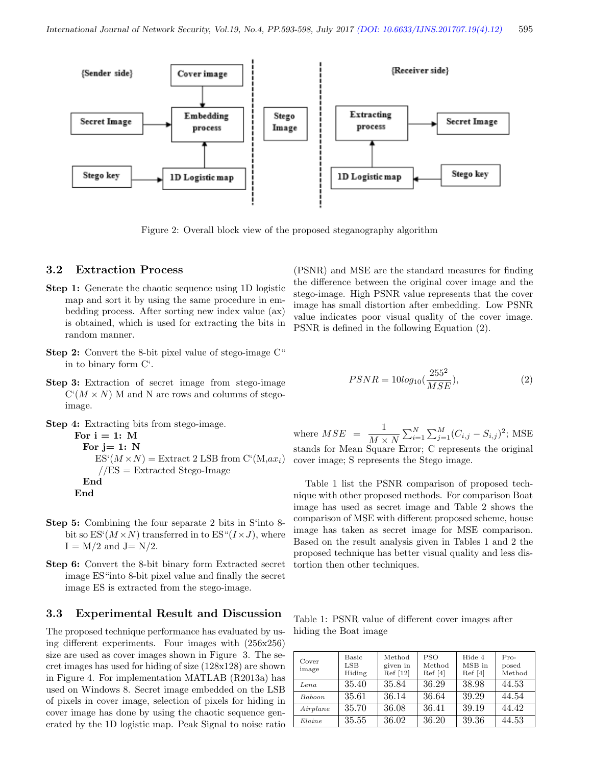

Figure 2: Overall block view of the proposed steganography algorithm

#### 3.2 Extraction Process

- Step 1: Generate the chaotic sequence using 1D logistic map and sort it by using the same procedure in embedding process. After sorting new index value (ax) is obtained, which is used for extracting the bits in random manner.
- Step 2: Convert the 8-bit pixel value of stego-image C" in to binary form C'.
- Step 3: Extraction of secret image from stego-image  $C(M \times N)$  M and N are rows and columns of stegoimage.
- Step 4: Extracting bits from stego-image.

```
For i = 1: M
 For j=1: N
    ES^{(M \times N)} = Extract 2 LSB from C^{(M,ax)}//ES = Extracted Stego-ImageEnd
End
```
- Step 5: Combining the four separate 2 bits in S'into 8 bit so  $ES^{(M\times N)}$  transferred in to  $ES^{(M\times J)}$ , where  $I = M/2$  and  $J = N/2$ .
- Step 6: Convert the 8-bit binary form Extracted secret image ES"into 8-bit pixel value and finally the secret image ES is extracted from the stego-image.

#### 3.3 Experimental Result and Discussion

The proposed technique performance has evaluated by using different experiments. Four images with (256x256) size are used as cover images shown in Figure 3. The secret images has used for hiding of size (128x128) are shown in Figure 4. For implementation MATLAB (R2013a) has used on Windows 8. Secret image embedded on the LSB of pixels in cover image, selection of pixels for hiding in cover image has done by using the chaotic sequence generated by the 1D logistic map. Peak Signal to noise ratio (PSNR) and MSE are the standard measures for finding the difference between the original cover image and the stego-image. High PSNR value represents that the cover image has small distortion after embedding. Low PSNR value indicates poor visual quality of the cover image. PSNR is defined in the following Equation (2).

$$
PSNR = 10log_{10}(\frac{255^2}{MSE}),
$$
\n(2)

where  $MSE = \frac{1}{M}$  $\frac{1}{M \times N} \sum_{i=1}^{N} \sum_{j=1}^{M} (C_{i,j} - S_{i,j})^2$ ; MSE stands for Mean Square Error; C represents the original cover image; S represents the Stego image.

Table 1 list the PSNR comparison of proposed technique with other proposed methods. For comparison Boat image has used as secret image and Table 2 shows the comparison of MSE with different proposed scheme, house image has taken as secret image for MSE comparison. Based on the result analysis given in Tables 1 and 2 the proposed technique has better visual quality and less distortion then other techniques.

Table 1: PSNR value of different cover images after hiding the Boat image

| Cover<br>image   | Basic<br>LSB<br>Hiding | Method<br>given in<br>Ref [12] | <b>PSO</b><br>Method<br>Ref[4] | Hide 4<br>MSB in<br>Ref[4] | $Pro-$<br>posed<br>Method |
|------------------|------------------------|--------------------------------|--------------------------------|----------------------------|---------------------------|
| Lena             | 35.40                  | 35.84                          | 36.29                          | 38.98                      | 44.53                     |
| Baboon.          | 35.61                  | 36.14                          | 36.64                          | 39.29                      | 44.54                     |
| Airplane         | 35.70                  | 36.08                          | 36.41                          | 39.19                      | 44.42                     |
| $E$ <i>laine</i> | 35.55                  | 36.02                          | 36.20                          | 39.36                      | 44.53                     |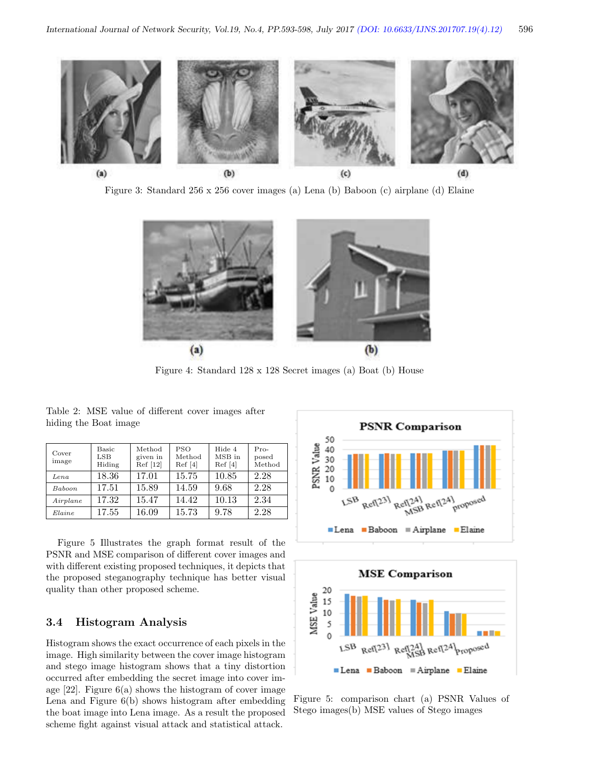

Figure 3: Standard 256 x 256 cover images (a) Lena (b) Baboon (c) airplane (d) Elaine



Figure 4: Standard 128 x 128 Secret images (a) Boat (b) House

Table 2: MSE value of different cover images after hiding the Boat image

| Cover<br>image | <b>Basic</b><br>$_{\rm{LSB}}$<br>Hiding | Method<br>given in<br>Ref [12] | <b>PSO</b><br>Method<br>Ref[4] | Hide 4<br>MSB in<br>Ref[4] | $Pro-$<br>posed<br>Method |
|----------------|-----------------------------------------|--------------------------------|--------------------------------|----------------------------|---------------------------|
| $_{Lena}$      | 18.36                                   | 17.01                          | 15.75                          | 10.85                      | 2.28                      |
| Baboon.        | 17.51                                   | 15.89                          | 14.59                          | 9.68                       | 2.28                      |
| Airplane       | 17.32                                   | 15.47                          | 14.42                          | 10.13                      | 2.34                      |
| Elaine         | 17.55                                   | 16.09                          | 15.73                          | 9.78                       | 2.28                      |

Figure 5 Illustrates the graph format result of the PSNR and MSE comparison of different cover images and with different existing proposed techniques, it depicts that the proposed steganography technique has better visual quality than other proposed scheme.

### 3.4 Histogram Analysis

Histogram shows the exact occurrence of each pixels in the image. High similarity between the cover image histogram and stego image histogram shows that a tiny distortion occurred after embedding the secret image into cover image  $[22]$ . Figure  $6(a)$  shows the histogram of cover image Lena and Figure 6(b) shows histogram after embedding the boat image into Lena image. As a result the proposed scheme fight against visual attack and statistical attack.





Figure 5: comparison chart (a) PSNR Values of Stego images(b) MSE values of Stego images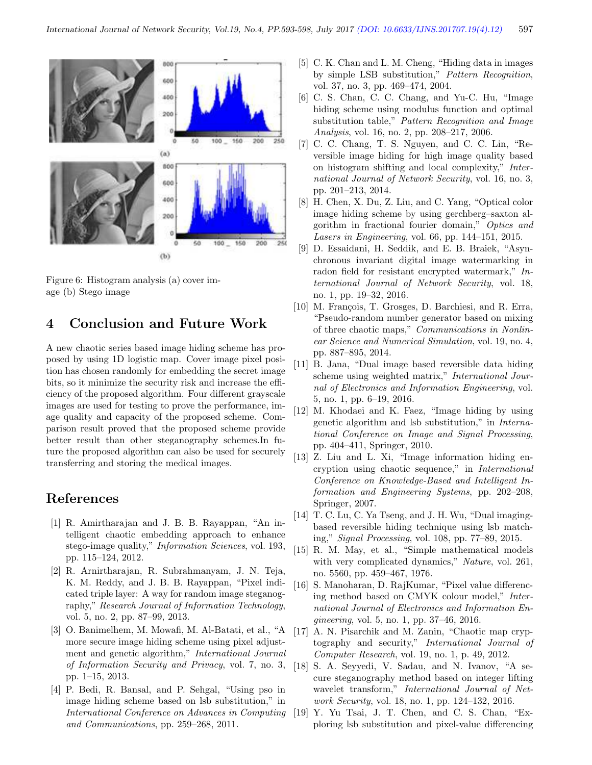

Figure 6: Histogram analysis (a) cover image (b) Stego image

### 4 Conclusion and Future Work

A new chaotic series based image hiding scheme has proposed by using 1D logistic map. Cover image pixel position has chosen randomly for embedding the secret image bits, so it minimize the security risk and increase the efficiency of the proposed algorithm. Four different grayscale images are used for testing to prove the performance, image quality and capacity of the proposed scheme. Comparison result proved that the proposed scheme provide better result than other steganography schemes.In future the proposed algorithm can also be used for securely transferring and storing the medical images.

### References

- [1] R. Amirtharajan and J. B. B. Rayappan, "An intelligent chaotic embedding approach to enhance stego-image quality," Information Sciences, vol. 193, pp. 115–124, 2012.
- [2] R. Arnirtharajan, R. Subrahmanyam, J. N. Teja, K. M. Reddy, and J. B. B. Rayappan, "Pixel indicated triple layer: A way for random image steganography," Research Journal of Information Technology, vol. 5, no. 2, pp. 87–99, 2013.
- [3] O. Banimelhem, M. Mowafi, M. Al-Batati, et al., "A more secure image hiding scheme using pixel adjustment and genetic algorithm," International Journal of Information Security and Privacy, vol. 7, no. 3, pp. 1–15, 2013.
- [4] P. Bedi, R. Bansal, and P. Sehgal, "Using pso in image hiding scheme based on lsb substitution," in International Conference on Advances in Computing and Communications, pp. 259–268, 2011.
- [5] C. K. Chan and L. M. Cheng, "Hiding data in images by simple LSB substitution," Pattern Recognition, vol. 37, no. 3, pp. 469–474, 2004.
- [6] C. S. Chan, C. C. Chang, and Yu-C. Hu, "Image hiding scheme using modulus function and optimal substitution table," Pattern Recognition and Image Analysis, vol. 16, no. 2, pp. 208–217, 2006.
- [7] C. C. Chang, T. S. Nguyen, and C. C. Lin, "Reversible image hiding for high image quality based on histogram shifting and local complexity," International Journal of Network Security, vol. 16, no. 3, pp. 201–213, 2014.
- [8] H. Chen, X. Du, Z. Liu, and C. Yang, "Optical color image hiding scheme by using gerchberg–saxton algorithm in fractional fourier domain," Optics and Lasers in Engineering, vol. 66, pp. 144–151, 2015.
- [9] D. Essaidani, H. Seddik, and E. B. Braiek, "Asynchronous invariant digital image watermarking in radon field for resistant encrypted watermark," International Journal of Network Security, vol. 18, no. 1, pp. 19–32, 2016.
- [10] M. François, T. Grosges, D. Barchiesi, and R. Erra, "Pseudo-random number generator based on mixing of three chaotic maps," Communications in Nonlinear Science and Numerical Simulation, vol. 19, no. 4, pp. 887–895, 2014.
- [11] B. Jana, "Dual image based reversible data hiding scheme using weighted matrix," International Journal of Electronics and Information Engineering, vol. 5, no. 1, pp. 6–19, 2016.
- [12] M. Khodaei and K. Faez, "Image hiding by using genetic algorithm and lsb substitution," in International Conference on Image and Signal Processing, pp. 404–411, Springer, 2010.
- [13] Z. Liu and L. Xi, "Image information hiding encryption using chaotic sequence," in International Conference on Knowledge-Based and Intelligent Information and Engineering Systems, pp. 202–208, Springer, 2007.
- [14] T. C. Lu, C. Ya Tseng, and J. H. Wu, "Dual imagingbased reversible hiding technique using lsb matching," Signal Processing, vol. 108, pp. 77–89, 2015.
- [15] R. M. May, et al., "Simple mathematical models with very complicated dynamics," Nature, vol. 261, no. 5560, pp. 459–467, 1976.
- [16] S. Manoharan, D. RajKumar, "Pixel value differencing method based on CMYK colour model," International Journal of Electronics and Information Engineering, vol. 5, no. 1, pp. 37–46, 2016.
- [17] A. N. Pisarchik and M. Zanin, "Chaotic map cryptography and security," International Journal of Computer Research, vol. 19, no. 1, p. 49, 2012.
- [18] S. A. Seyyedi, V. Sadau, and N. Ivanov, "A secure steganography method based on integer lifting wavelet transform," International Journal of Network Security, vol. 18, no. 1, pp. 124–132, 2016.
- [19] Y. Yu Tsai, J. T. Chen, and C. S. Chan, "Exploring lsb substitution and pixel-value differencing